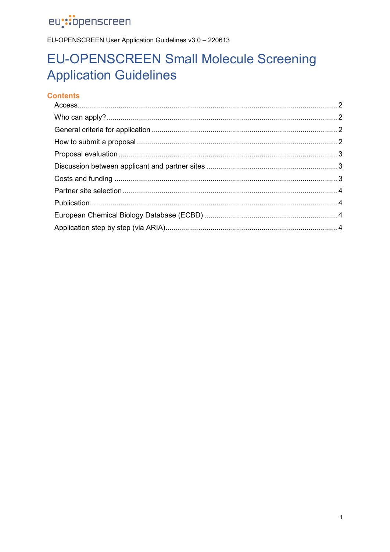EU-OPENSCREEN User Application Guidelines v3.0 - 220613

# **EU-OPENSCREEN Small Molecule Screening Application Guidelines**

### **Contents**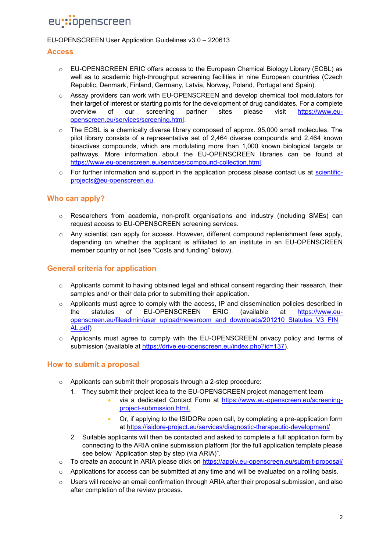#### EU-OPENSCREEN User Application Guidelines v3.0 – 220613

#### <span id="page-1-0"></span>**Access**

- o EU-OPENSCREEN ERIC offers access to the European Chemical Biology Library (ECBL) as well as to academic high-throughput screening facilities in nine European countries (Czech Republic, Denmark, Finland, Germany, Latvia, Norway, Poland, Portugal and Spain).
- $\circ$  Assay providers can work with EU-OPENSCREEN and develop chemical tool modulators for their target of interest or starting points for the development of drug candidates. For a complete overview of our screening partner sites please visit [https://www.eu](https://www.eu-openscreen.eu/services/screening.html)[openscreen.eu/services/screening.html.](https://www.eu-openscreen.eu/services/screening.html)
- $\circ$  The ECBL is a chemically diverse library composed of approx. 95,000 small molecules. The pilot library consists of a representative set of 2,464 diverse compounds and 2,464 known bioactives compounds, which are modulating more than 1,000 known biological targets or pathways. More information about the EU-OPENSCREEN libraries can be found at [https://www.eu-openscreen.eu/services/compound-collection.html.](https://www.eu-openscreen.eu/services/compound-collection.html)
- $\circ$  For further information and support in the application process please contact us at [scientific](mailto:scientific-projects@eu-openscreen.eu)[projects@eu-openscreen.eu.](mailto:scientific-projects@eu-openscreen.eu)

### <span id="page-1-1"></span>**Who can apply?**

- o Researchers from academia, non-profit organisations and industry (including SMEs) can request access to EU-OPENSCREEN screening services.
- $\circ$  Any scientist can apply for access. However, different compound replenishment fees apply, depending on whether the applicant is affiliated to an institute in an EU-OPENSCREEN member country or not (see "Costs and funding" below).

### <span id="page-1-2"></span>**General criteria for application**

- $\circ$  Applicants commit to having obtained legal and ethical consent regarding their research, their samples and/ or their data prior to submitting their application.
- $\circ$  Applicants must agree to comply with the access, IP and dissemination policies described in the statutes of EU-OPENSCREEN ERIC (available at [https://www.eu](https://www.eu-openscreen.eu/fileadmin/user_upload/newsroom_and_downloads/201210_Statutes_V3_FINAL.pdf)[openscreen.eu/fileadmin/user\\_upload/newsroom\\_and\\_downloads/201210\\_Statutes\\_V3\\_FIN](https://www.eu-openscreen.eu/fileadmin/user_upload/newsroom_and_downloads/201210_Statutes_V3_FINAL.pdf) [AL.pdf\)](https://www.eu-openscreen.eu/fileadmin/user_upload/newsroom_and_downloads/201210_Statutes_V3_FINAL.pdf)
- $\circ$  Applicants must agree to comply with the EU-OPENSCREEN privacy policy and terms of submission (available at [https://drive.eu-openscreen.eu/index.php?id=137\)](https://drive.eu-openscreen.eu/index.php?id=137).

#### <span id="page-1-3"></span>**How to submit a proposal**

- o Applicants can submit their proposals through a 2-step procedure:
	- 1. They submit their project idea to the EU-OPENSCREEN project management team
		- via a dedicated [Contact Form](https://www.eu-openscreen.eu/index.php?id=228) at [https://www.eu-openscreen.eu/screening](https://www.eu-openscreen.eu/screening-project-submission.html)[project-submission.html.](https://www.eu-openscreen.eu/screening-project-submission.html)
		- Or, if applying to the ISIDORe open call, by completing a pre-application form at<https://isidore-project.eu/services/diagnostic-therapeutic-development/>
	- 2. Suitable applicants will then be contacted and asked to complete a full application form by connecting to the ARIA online submission platform (for the full application template please see below "[Application step by step](#page-3-3) (via ARIA)".
- $\circ$  To create an account in ARIA please click on<https://apply.eu-openscreen.eu/submit-proposal/>
- $\circ$  Applications for access can be submitted at any time and will be evaluated on a rolling basis.
- $\circ$  Users will receive an email confirmation through ARIA after their proposal submission, and also after completion of the review process.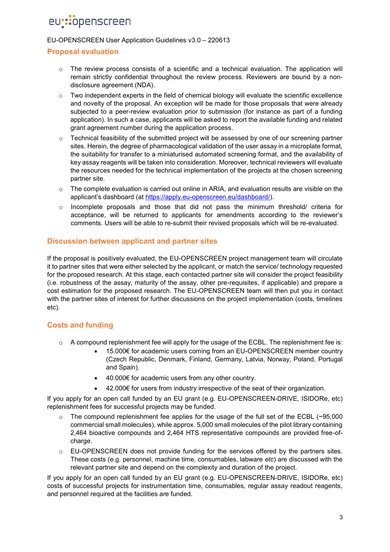#### EU-OPENSCREEN User Application Guidelines v3.0 – 220613

#### <span id="page-2-0"></span>**Proposal evaluation**

- $\circ$  The review process consists of a scientific and a technical evaluation. The application will remain strictly confidential throughout the review process. Reviewers are bound by a nondisclosure agreement (NDA).
- $\circ$  Two independent experts in the field of chemical biology will evaluate the scientific excellence and novelty of the proposal. An exception will be made for those proposals that were already subjected to a peer-review evaluation prior to submission (for instance as part of a funding application). In such a case, applicants will be asked to report the available funding and related grant agreement number during the application process.
- $\circ$  Technical feasibility of the submitted project will be assessed by one of our screening partner sites. Herein, the degree of pharmacological validation of the user assay in a microplate format, the suitability for transfer to a miniaturised automated screening format, and the availability of key assay reagents will be taken into consideration. Moreover, technical reviewers will evaluate the resources needed for the technical implementation of the projects at the chosen screening partner site.
- $\circ$  The complete evaluation is carried out online in ARIA, and evaluation results are visible on the applicant's dashboard (at [https://apply.eu-openscreen.eu/dashboard/\)](https://apply.eu-openscreen.eu/dashboard/).
- $\circ$  Incomplete proposals and those that did not pass the minimum threshold/ criteria for acceptance, will be returned to applicants for amendments according to the reviewer's comments. Users will be able to re-submit their revised proposals which will be re-evaluated.

### <span id="page-2-1"></span>**Discussion between applicant and partner sites**

If the proposal is positively evaluated, the EU-OPENSCREEN project management team will circulate it to partner sites that were either selected by the applicant, or match the service/ technology requested for the proposed research. At this stage, each contacted partner site will consider the project feasibility (i.e. robustness of the assay, maturity of the assay, other pre-requisites, if applicable) and prepare a cost estimation for the proposed research. The EU-OPENSCREEN team will then put you in contact with the partner sites of interest for further discussions on the project implementation (costs, timelines etc).

### <span id="page-2-2"></span>**Costs and funding**

- $\circ$  A compound replenishment fee will apply for the usage of the ECBL. The replenishment fee is:
	- 15.000€ for academic users coming from an EU-OPENSCREEN member country (Czech Republic, Denmark, Finland, Germany, Latvia, Norway, Poland, Portugal and Spain).
	- 40.000€ for academic users from any other country.
	- 42.000€ for users from industry irrespective of the seat of their organization.

If you apply for an open call funded by an EU grant (e.g. EU-OPENSCREEN-DRIVE, ISIDORe, etc) replenishment fees for successful projects may be funded.

- $\circ$  The compound replenishment fee applies for the usage of the full set of the ECBL (~95,000 commercial small molecules), while approx. 5,000 small molecules of the pilot library containing 2,464 bioactive compounds and 2,464 HTS representative compounds are provided free-ofcharge.
- o EU-OPENSCREEN does not provide funding for the services offered by the partners sites. These costs (e.g. personnel, machine time, consumables, labware *etc*) are discussed with the relevant partner site and depend on the complexity and duration of the project.

If you apply for an open call funded by an EU grant (e.g. EU-OPENSCREEN-DRIVE, ISIDORe, etc) costs of successful projects for instrumentation time, consumables, regular assay readout reagents, and personnel required at the facilities are funded.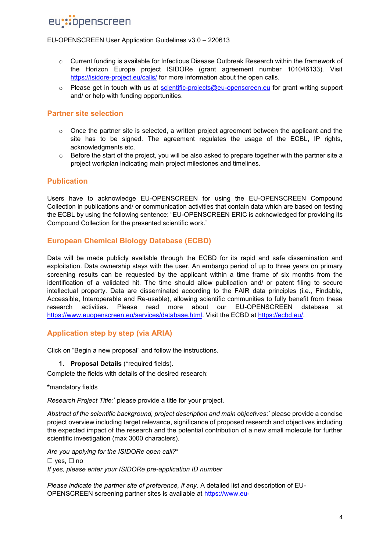#### EU-OPENSCREEN User Application Guidelines v3.0 – 220613

- o Current funding is available for Infectious Disease Outbreak Research within the framework of the Horizon Europe project ISIDORe (grant agreement number 101046133). Visit <https://isidore-project.eu/calls/> for more information about the open calls.
- o Please get in touch with us at [scientific-projects@eu-openscreen.eu](mailto:scientific-projects@eu-openscreen.eu) for grant writing support and/ or help with funding opportunities.

### <span id="page-3-0"></span>**Partner site selection**

- $\circ$  Once the partner site is selected, a written project agreement between the applicant and the site has to be signed. The agreement regulates the usage of the ECBL, IP rights, acknowledgments etc.
- $\circ$  Before the start of the project, you will be also asked to prepare together with the partner site a project workplan indicating main project milestones and timelines.

### <span id="page-3-1"></span>**Publication**

Users have to acknowledge EU-OPENSCREEN for using the EU-OPENSCREEN Compound Collection in publications and/ or communication activities that contain data which are based on testing the ECBL by using the following sentence: "EU-OPENSCREEN ERIC is acknowledged for providing its Compound Collection for the presented scientific work."

### <span id="page-3-2"></span>**European Chemical Biology Database (ECBD)**

Data will be made publicly available through the ECBD for its rapid and safe dissemination and exploitation. Data ownership stays with the user. An embargo period of up to three years on primary screening results can be requested by the applicant within a time frame of six months from the identification of a validated hit. The time should allow publication and/ or patent filing to secure intellectual property. Data are disseminated according to the FAIR data principles (i.e., Findable, Accessible, Interoperable and Re-usable), allowing scientific communities to fully benefit from these research activities. Please read more about our EU-OPENSCREEN database at [https://www.euopenscreen.eu/services/database.html.](https://www.euopenscreen.eu/services/database.html) Visit the ECBD at [https://ecbd.eu/.](https://ecbd.eu/)

### <span id="page-3-3"></span>**Application step by step (via ARIA)**

Click on "Begin a new proposal" and follow the instructions.

**1. Proposal Details** (\*required fields).

Complete the fields with details of the desired research:

**\***mandatory fields

*Research Project Title:\** please provide a title for your project.

*Abstract of the scientific background, project description and main objectives*: *\** please provide a concise project overview including target relevance, significance of proposed research and objectives including the expected impact of the research and the potential contribution of a new small molecule for further scientific investigation (max 3000 characters).

*Are you applying for the ISIDORe open call?*\* ☐ yes, ☐ no *If yes, please enter your ISIDORe pre-application ID number*

*Please indicate the partner site of preference, if any*. A detailed list and description of EU-OPENSCREEN screening partner sites is available at [https://www.eu-](https://www.eu-openscreen.eu/services/screening.html)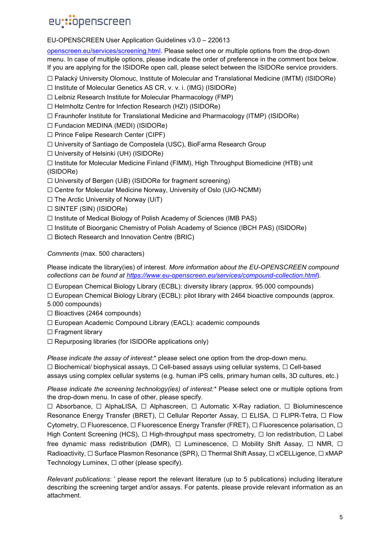#### EU-OPENSCREEN User Application Guidelines v3.0 – 220613

[openscreen.eu/services/screening.html.](https://www.eu-openscreen.eu/services/screening.html) Please select one or multiple options from the drop-down menu. In case of multiple options, please indicate the order of preference in the comment box below. If you are applying for the ISIDORe open call, please select between the ISIDORe service providers.

☐ Palacký University Olomouc, Institute of Molecular and Translational Medicine (IMTM) (ISIDORe)

☐ Institute of Molecular Genetics AS CR, v. v. i. (IMG) (ISIDORe)

☐ Leibniz Research Institute for Molecular Pharmacology (FMP)

☐ Helmholtz Centre for Infection Research (HZI) (ISIDORe)

☐ Fraunhofer Institute for Translational Medicine and Pharmacology (ITMP) (ISIDORe)

☐ Fundacion MEDINA (MEDI) (ISIDORe)

- ☐ Prince Felipe Research Center (CIPF)
- ☐ University of Santiago de Compostela (USC), BioFarma Research Group

☐ University of Helsinki (UH) (ISIDORe)

☐ Institute for Molecular Medicine Finland (FIMM), High Throughput Biomedicine (HTB) unit (ISIDORe)

☐ University of Bergen (UiB) (ISIDORe for fragment screening)

☐ Centre for Molecular Medicine Norway, University of Oslo (UiO-NCMM)

☐ The Arctic University of Norway (UiT)

☐ SINTEF (SIN) (ISIDORe)

☐ Institute of Medical Biology of Polish Academy of Sciences (IMB PAS)

☐ Institute of Bioorganic Chemistry of Polish Academy of Science (IBCH PAS) (ISIDORe)

☐ Biotech Research and Innovation Centre (BRIC)

*Comments* (max. 500 characters)

Please indicate the library(ies) of interest. *More information about the EU-OPENSCREEN compound collections can be found at<https://www.eu-openscreen.eu/services/compound-collection.html>*).

☐ European Chemical Biology Library (ECBL): diversity library (approx. 95.000 compounds)

☐ European Chemical Biology Library (ECBL): pilot library with 2464 bioactive compounds (approx. 5.000 compounds)

- ☐ Bioactives (2464 compounds)
- ☐ European Academic Compound Library (EACL): academic compounds
- ☐ Fragment library
- ☐ Repurposing libraries (for ISIDORe applications only)

*Please indicate the assay of interest*:\* please select one option from the drop-down menu. ☐ Biochemical/ biophysical assays, ☐ Cell-based assays using cellular systems, ☐ Cell-based assays using complex cellular systems (e.g. human iPS cells, primary human cells, 3D cultures, etc.)

*Please indicate the screening technology(ies) of interest:\** Please select one or multiple options from the drop-down menu. In case of other, please specify.

☐ Absorbance, ☐ AlphaLISA, ☐ Alphascreen, ☐ Automatic X-Ray radiation, ☐ Bioluminescence Resonance Energy Transfer (BRET), □ Cellular Reporter Assay, □ ELISA, □ FLIPR-Tetra, □ Flow Cytometry, □ Fluorescence, □ Fluorescence Energy Transfer (FRET), □ Fluorescence polarisation, □ High Content Screening (HCS), □ High-throughput mass spectrometry, □ Ion redistribution, □ Label free dynamic mass redistribution (DMR),  $\Box$  Luminescence,  $\Box$  Mobility Shift Assay,  $\Box$  NMR,  $\Box$ Radioactivity, □ Surface Plasmon Resonance (SPR), □ Thermal Shift Assay, □ xCELLigence, □ xMAP Technology Luminex, □ other (please specify).

*Relevant publications*: \* please report the relevant literature (up to 5 publications) including literature describing the screening target and/or assays. For patents, please provide relevant information as an attachment.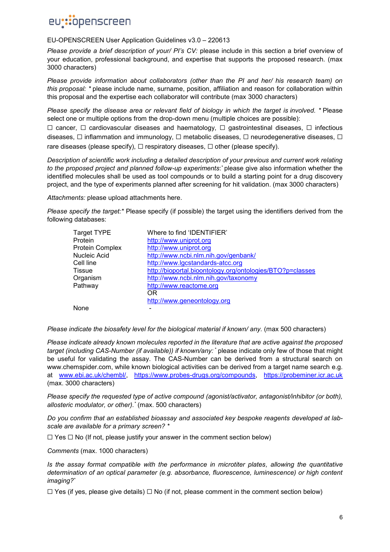#### EU-OPENSCREEN User Application Guidelines v3.0 – 220613

*Please provide a brief description of your/ PI's CV:* please include in this section a brief overview of your education, professional background, and expertise that supports the proposed research. (max 3000 characters)

*Please provide information about collaborators (other than the PI and her/ his research team) on this proposal: \** please include name, surname, position, affiliation and reason for collaboration within this proposal and the expertise each collaborator will contribute (max 3000 characters)

*Please specify the disease area or relevant field of biology in which the target is involved. \** Please select one or multiple options from the drop-down menu (multiple choices are possible):

☐ cancer, ☐ cardiovascular diseases and haematology, ☐ gastrointestinal diseases, ☐ infectious diseases,  $□$  inflammation and immunology,  $□$  metabolic diseases,  $□$  neurodegenerative diseases,  $□$ rare diseases (please specify),  $\Box$  respiratory diseases,  $\Box$  other (please specify).

*Description of scientific work including a detailed description of your previous and current work relating*  to the proposed project and planned follow-up experiments: please give also information whether the identified molecules shall be used as tool compounds or to build a starting point for a drug discovery project, and the type of experiments planned after screening for hit validation. (max 3000 characters)

*Attachments:* please upload attachments here.

*Please specify the target:\** Please specify (if possible) the target using the identifiers derived from the following databases:

| Where to find 'IDENTIFIER'                                |
|-----------------------------------------------------------|
| http://www.uniprot.org                                    |
| http://www.uniprot.org                                    |
| http://www.ncbi.nlm.nih.gov/genbank/                      |
| http://www.lgcstandards-atcc.org                          |
| http://bioportal.bioontology.org/ontologies/BTO?p=classes |
| http://www.ncbi.nlm.nih.gov/taxonomy                      |
| http://www.reactome.org                                   |
| OR                                                        |
| http://www.geneontology.org                               |
|                                                           |
|                                                           |

*Please indicate the biosafety level for the biological material if known/ any.* (max 500 characters)

*Please indicate already known molecules reported in the literature that are active against the proposed target (including CAS-Number (if available)) if known/any: \** please indicate only few of those that might be useful for validating the assay. The CAS-Number can be derived from a structural search on www.chemspider.com, while known biological activities can be derived from a target name search e.g. at [www.ebi.ac.uk/chembl/,](http://www.ebi.ac.uk/chembl/) [https://www.probes-drugs.org/compounds,](https://www.probes-drugs.org/compounds) [https://probeminer.icr.ac.uk](https://probeminer.icr.ac.uk/) (max. 3000 characters)

*Please specify the requested type of active compound (agonist/activator, antagonist/inhibitor (or both), allosteric modulator, or other).\** (max. 500 characters)

*Do you confirm that an established bioassay and associated key bespoke reagents developed at labscale are available for a primary screen? \**

☐ Yes ☐ No (If not, please justify your answer in the comment section below)

*Comments* (max. 1000 characters)

*Is the assay format compatible with the performance in microtiter plates, allowing the quantitative determination of an optical parameter (e.g. absorbance, fluorescence, luminescence) or high content imaging?\**

 $\Box$  Yes (if yes, please give details)  $\Box$  No (if not, please comment in the comment section below)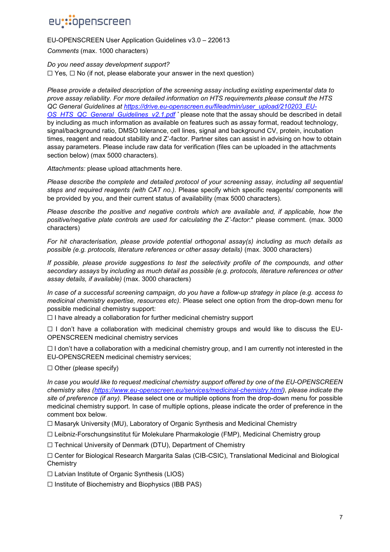EU-OPENSCREEN User Application Guidelines v3.0 – 220613

*Comments* (max. 1000 characters)

### *Do you need assay development support?*

☐ Yes*,* ☐ No (if not, please elaborate your answer in the next question)

*Please provide a detailed description of the screening assay including existing experimental data to prove assay reliability. For more detailed information on HTS requirements please consult the HTS QC General Guidelines at [https://drive.eu-openscreen.eu/fileadmin/user\\_upload/210203\\_EU-](https://drive.eu-openscreen.eu/fileadmin/user_upload/210203_EU-OS_HTS_QC_General_Guidelines_v2.1.pdf)[OS\\_HTS\\_QC\\_General\\_Guidelines\\_v2.1.pdf](https://drive.eu-openscreen.eu/fileadmin/user_upload/210203_EU-OS_HTS_QC_General_Guidelines_v2.1.pdf) \** please note that the assay should be described in detail by including as much information as available on features such as assay format, readout technology, signal/background ratio, DMSO tolerance, cell lines, signal and background CV, protein, incubation times, reagent and readout stability and Z'-factor. Partner sites can assist in advising on how to obtain assay parameters. Please include raw data for verification (files can be uploaded in the attachments section below) (max 5000 characters).

*Attachments:* please upload attachments here.

*Please describe the complete and detailed protocol of your screening assay, including all sequential steps and required reagents (with CAT no.).* Please specify which specific reagents/ components will be provided by you, and their current status of availability (max 5000 characters)*.*

*Please describe the positive and negative controls which are available and, if applicable, how the positive/negative plate controls are used for calculating the Z'-factor*:\* please comment. (max. 3000 characters)

*For hit characterisation, please provide potential orthogonal assay(s) including as much details as possible (e.g. protocols, literature references or other assay details)* (max. 3000 characters)

*If possible, please provide suggestions to test the selectivity profile of the compounds, and other secondary assays* by *including as much detail as possible (e.g. protocols, literature references or other assay details, if available)* (max. 3000 characters)

*In case of a successful screening campaign, do you have a follow-up strategy in place (e.g. access to medicinal chemistry expertise, resources etc)*. Please select one option from the drop-down menu for possible medicinal chemistry support:

☐ I have already a collaboration for further medicinal chemistry support

 $\Box$  I don't have a collaboration with medicinal chemistry groups and would like to discuss the EU-OPENSCREEN medicinal chemistry services

 $\Box$  I don't have a collaboration with a medicinal chemistry group, and I am currently not interested in the EU-OPENSCREEN medicinal chemistry services;

☐ Other (please specify)

*In case you would like to request medicinal chemistry support offered by one of the EU-OPENSCREEN chemistry sites [\(https://www.eu-openscreen.eu/services/medicinal-chemistry.html\)](https://www.eu-openscreen.eu/services/medicinal-chemistry.html), please indicate the site of preference (if any).* Please select one or multiple options from the drop-down menu for possible medicinal chemistry support. In case of multiple options, please indicate the order of preference in the comment box below.

☐ Masaryk University (MU), Laboratory of Organic Synthesis and Medicinal Chemistry

☐ Leibniz-Forschungsinstitut für Molekulare Pharmakologie (FMP), Medicinal Chemistry group

☐ Technical University of Denmark (DTU), Department of Chemistry

☐ Center for Biological Research Margarita Salas (CIB-CSIC), Translational Medicinal and Biological **Chemistry** 

☐ Latvian Institute of Organic Synthesis (LIOS)

☐ Institute of Biochemistry and Biophysics (IBB PAS)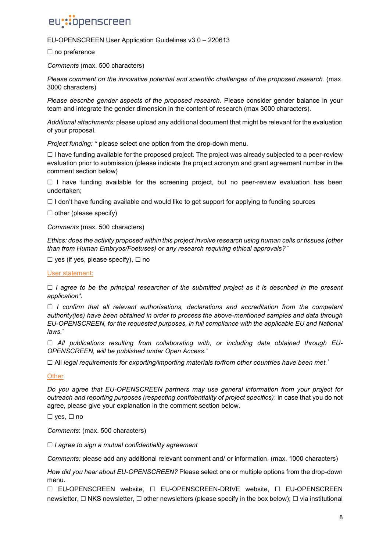#### EU-OPENSCREEN User Application Guidelines v3.0 – 220613

□ no preference

*Comments* (max. 500 characters)

*Please comment on the innovative potential and scientific challenges of the proposed research.* (max. 3000 characters)

*Please describe gender aspects of the proposed research.* Please consider gender balance in your team and integrate the gender dimension in the content of research (max 3000 characters).

*Additional attachments:* please upload any additional document that might be relevant for the evaluation of your proposal.

*Project funding: \** please select one option from the drop-down menu.

 $\Box$  I have funding available for the proposed project. The project was already subjected to a peer-review evaluation prior to submission (please indicate the project acronym and grant agreement number in the comment section below)

 $\Box$  I have funding available for the screening project, but no peer-review evaluation has been undertaken;

☐ I don't have funding available and would like to get support for applying to funding sources

 $\Box$  other (please specify)

*Comments* (max. 500 characters)

*Ethics: does the activity proposed within this project involve research using human cells or tissues (other than from Human Embryos/Foetuses) or any research requiring ethical approvals? \**

 $\Box$  yes (if yes, please specify),  $\Box$  no

#### User statement:

☐ *I agree to be the principal researcher of the submitted project as it is described in the present application\*.*

☐ *I confirm that all relevant authorisations, declarations and accreditation from the competent authority(ies) have been obtained in order to process the above-mentioned samples and data through EU-OPENSCREEN, for the requested purposes, in full compliance with the applicable EU and National laws.\**

□ All publications resulting from collaborating with, or including data obtained through EU-*OPENSCREEN, will be published under Open Access.\**

☐ All *legal requirements for exporting/importing materials to/from other countries have been met.\**

**Other** 

*Do you agree that EU-OPENSCREEN partners may use general information from your project for outreach and reporting purposes (respecting confidentiality of project specifics)*: in case that you do not agree, please give your explanation in the comment section below.

☐ yes, ☐ no

*Comments*: (max. 500 characters)

☐ *I agree to sign a mutual confidentiality agreement*

*Comments:* please add any additional relevant comment and/ or information. (max. 1000 characters)

*How did you hear about EU-OPENSCREEN?* Please select one or multiple options from the drop-down menu.

☐ EU-OPENSCREEN website, ☐ EU-OPENSCREEN-DRIVE website, ☐ EU-OPENSCREEN newsletter,  $□$  NKS newsletter,  $□$  other newsletters (please specify in the box below);  $□$  via institutional